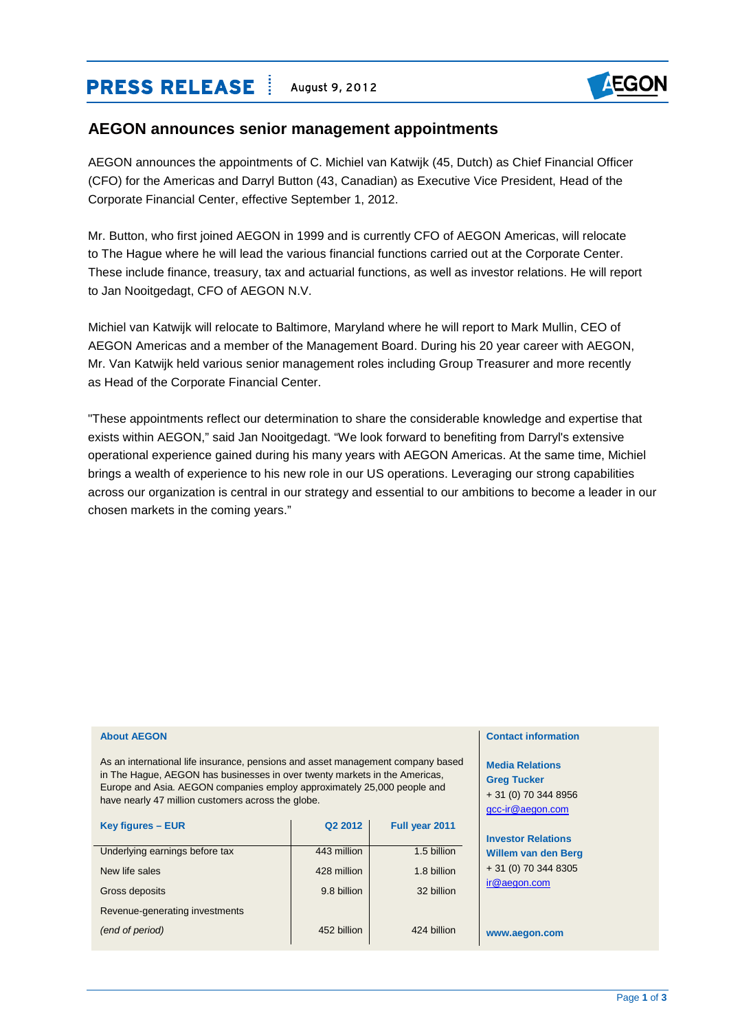# **PRESS RELEASE** | August 9, 2012



## **AEGON announces senior management appointments**

AEGON announces the appointments of C. Michiel van Katwijk (45, Dutch) as Chief Financial Officer (CFO) for the Americas and Darryl Button (43, Canadian) as Executive Vice President, Head of the Corporate Financial Center, effective September 1, 2012.

Mr. Button, who first joined AEGON in 1999 and is currently CFO of AEGON Americas, will relocate to The Hague where he will lead the various financial functions carried out at the Corporate Center. These include finance, treasury, tax and actuarial functions, as well as investor relations. He will report to Jan Nooitgedagt, CFO of AEGON N.V.

Michiel van Katwijk will relocate to Baltimore, Maryland where he will report to Mark Mullin, CEO of AEGON Americas and a member of the Management Board. During his 20 year career with AEGON, Mr. Van Katwijk held various senior management roles including Group Treasurer and more recently as Head of the Corporate Financial Center.

"These appointments reflect our determination to share the considerable knowledge and expertise that exists within AEGON," said Jan Nooitgedagt. "We look forward to benefiting from Darryl's extensive operational experience gained during his many years with AEGON Americas. At the same time, Michiel brings a wealth of experience to his new role in our US operations. Leveraging our strong capabilities across our organization is central in our strategy and essential to our ambitions to become a leader in our chosen markets in the coming years."

| As an international life insurance, pensions and asset management company based<br>in The Hague, AEGON has businesses in over twenty markets in the Americas,<br>Europe and Asia. AEGON companies employ approximately 25,000 people and<br>have nearly 47 million customers across the globe. |                     |                | <b>Media Relations</b><br><b>Greg Tucker</b><br>+ 31 (0) 70 344 8956<br>gcc-ir@aegon.com |
|------------------------------------------------------------------------------------------------------------------------------------------------------------------------------------------------------------------------------------------------------------------------------------------------|---------------------|----------------|------------------------------------------------------------------------------------------|
| Key figures - EUR                                                                                                                                                                                                                                                                              | Q <sub>2</sub> 2012 | Full year 2011 |                                                                                          |
|                                                                                                                                                                                                                                                                                                |                     |                | <b>Investor Relations</b>                                                                |
| Underlying earnings before tax                                                                                                                                                                                                                                                                 | 443 million         | 1.5 billion    | <b>Willem van den Berg</b>                                                               |
| New life sales                                                                                                                                                                                                                                                                                 | 428 million         | 1.8 billion    | $+31(0)$ 70 344 8305                                                                     |
| Gross deposits                                                                                                                                                                                                                                                                                 | 9.8 billion         | 32 billion     | ir@aegon.com                                                                             |
| Revenue-generating investments                                                                                                                                                                                                                                                                 |                     |                |                                                                                          |
| (end of period)                                                                                                                                                                                                                                                                                | 452 billion         | 424 billion    | www.aegon.com                                                                            |

**About AEGON**

#### **Contact information**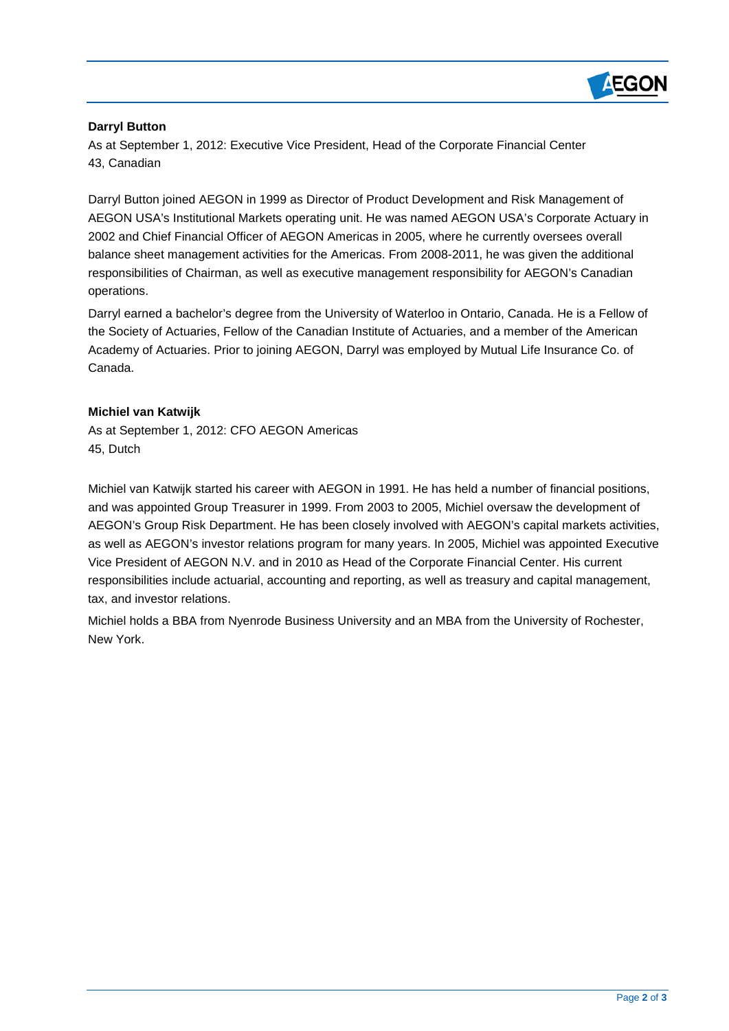

## **Darryl Button**

As at September 1, 2012: Executive Vice President, Head of the Corporate Financial Center 43, Canadian

Darryl Button joined AEGON in 1999 as Director of Product Development and Risk Management of AEGON USA's Institutional Markets operating unit. He was named AEGON USA's Corporate Actuary in 2002 and Chief Financial Officer of AEGON Americas in 2005, where he currently oversees overall balance sheet management activities for the Americas. From 2008-2011, he was given the additional responsibilities of Chairman, as well as executive management responsibility for AEGON's Canadian operations.

Darryl earned a bachelor's degree from the University of Waterloo in Ontario, Canada. He is a Fellow of the Society of Actuaries, Fellow of the Canadian Institute of Actuaries, and a member of the American Academy of Actuaries. Prior to joining AEGON, Darryl was employed by Mutual Life Insurance Co. of Canada.

## **Michiel van Katwijk**

As at September 1, 2012: CFO AEGON Americas 45, Dutch

Michiel van Katwijk started his career with AEGON in 1991. He has held a number of financial positions, and was appointed Group Treasurer in 1999. From 2003 to 2005, Michiel oversaw the development of AEGON's Group Risk Department. He has been closely involved with AEGON's capital markets activities, as well as AEGON's investor relations program for many years. In 2005, Michiel was appointed Executive Vice President of AEGON N.V. and in 2010 as Head of the Corporate Financial Center. His current responsibilities include actuarial, accounting and reporting, as well as treasury and capital management, tax, and investor relations.

Michiel holds a BBA from Nyenrode Business University and an MBA from the University of Rochester, New York.